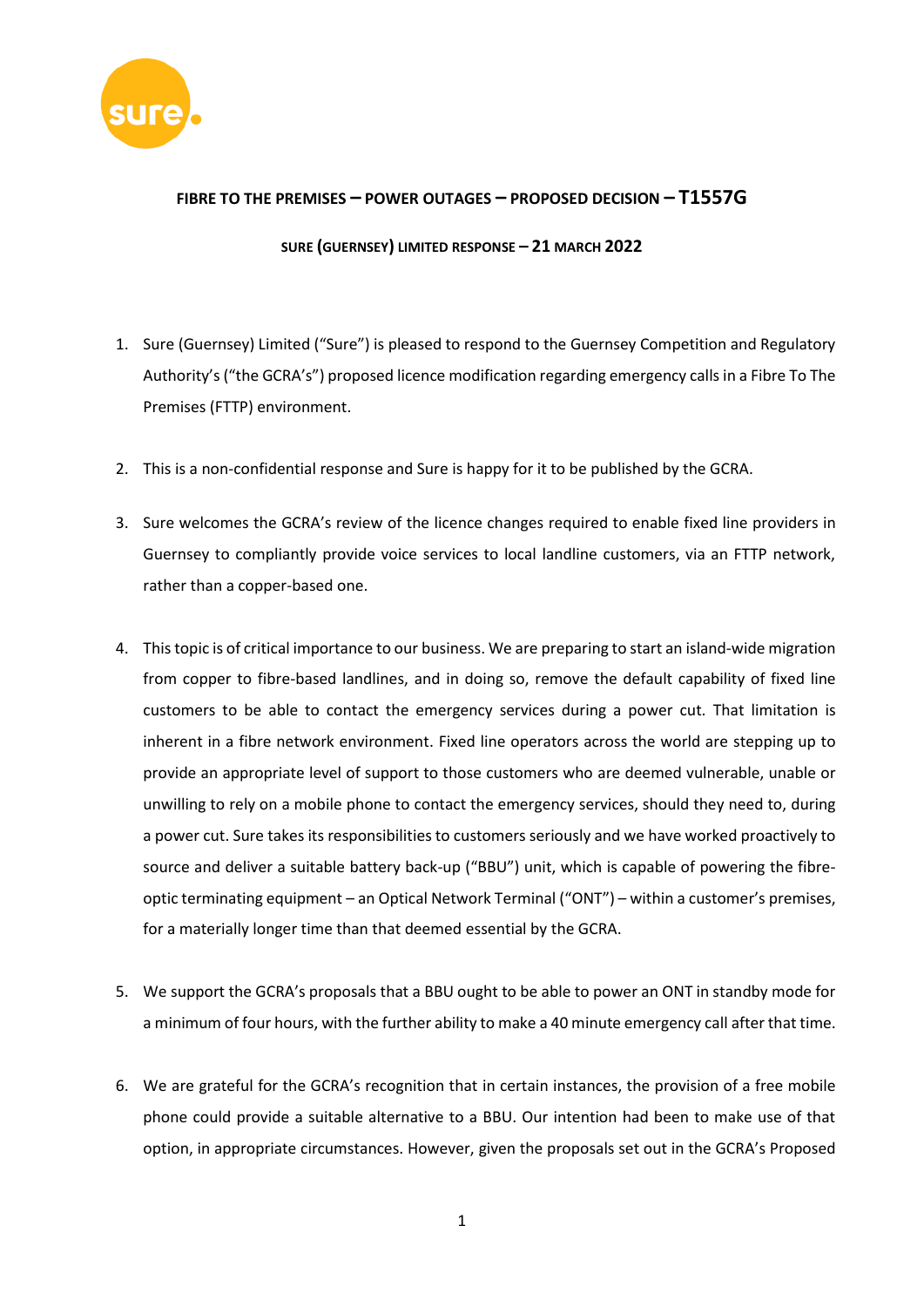

## **FIBRE TO THE PREMISES – POWER OUTAGES – PROPOSED DECISION – T1557G**

## **SURE (GUERNSEY) LIMITED RESPONSE – 21 MARCH 2022**

- 1. Sure (Guernsey) Limited ("Sure") is pleased to respond to the Guernsey Competition and Regulatory Authority's ("the GCRA's") proposed licence modification regarding emergency calls in a Fibre To The Premises (FTTP) environment.
- 2. This is a non-confidential response and Sure is happy for it to be published by the GCRA.
- 3. Sure welcomes the GCRA's review of the licence changes required to enable fixed line providers in Guernsey to compliantly provide voice services to local landline customers, via an FTTP network, rather than a copper-based one.
- 4. This topic is of critical importance to our business. We are preparing to start an island-wide migration from copper to fibre-based landlines, and in doing so, remove the default capability of fixed line customers to be able to contact the emergency services during a power cut. That limitation is inherent in a fibre network environment. Fixed line operators across the world are stepping up to provide an appropriate level of support to those customers who are deemed vulnerable, unable or unwilling to rely on a mobile phone to contact the emergency services, should they need to, during a power cut. Sure takes its responsibilities to customers seriously and we have worked proactively to source and deliver a suitable battery back-up ("BBU") unit, which is capable of powering the fibreoptic terminating equipment – an Optical Network Terminal ("ONT") – within a customer's premises, for a materially longer time than that deemed essential by the GCRA.
- 5. We support the GCRA's proposals that a BBU ought to be able to power an ONT in standby mode for a minimum of four hours, with the further ability to make a 40 minute emergency call after that time.
- 6. We are grateful for the GCRA's recognition that in certain instances, the provision of a free mobile phone could provide a suitable alternative to a BBU. Our intention had been to make use of that option, in appropriate circumstances. However, given the proposals set out in the GCRA's Proposed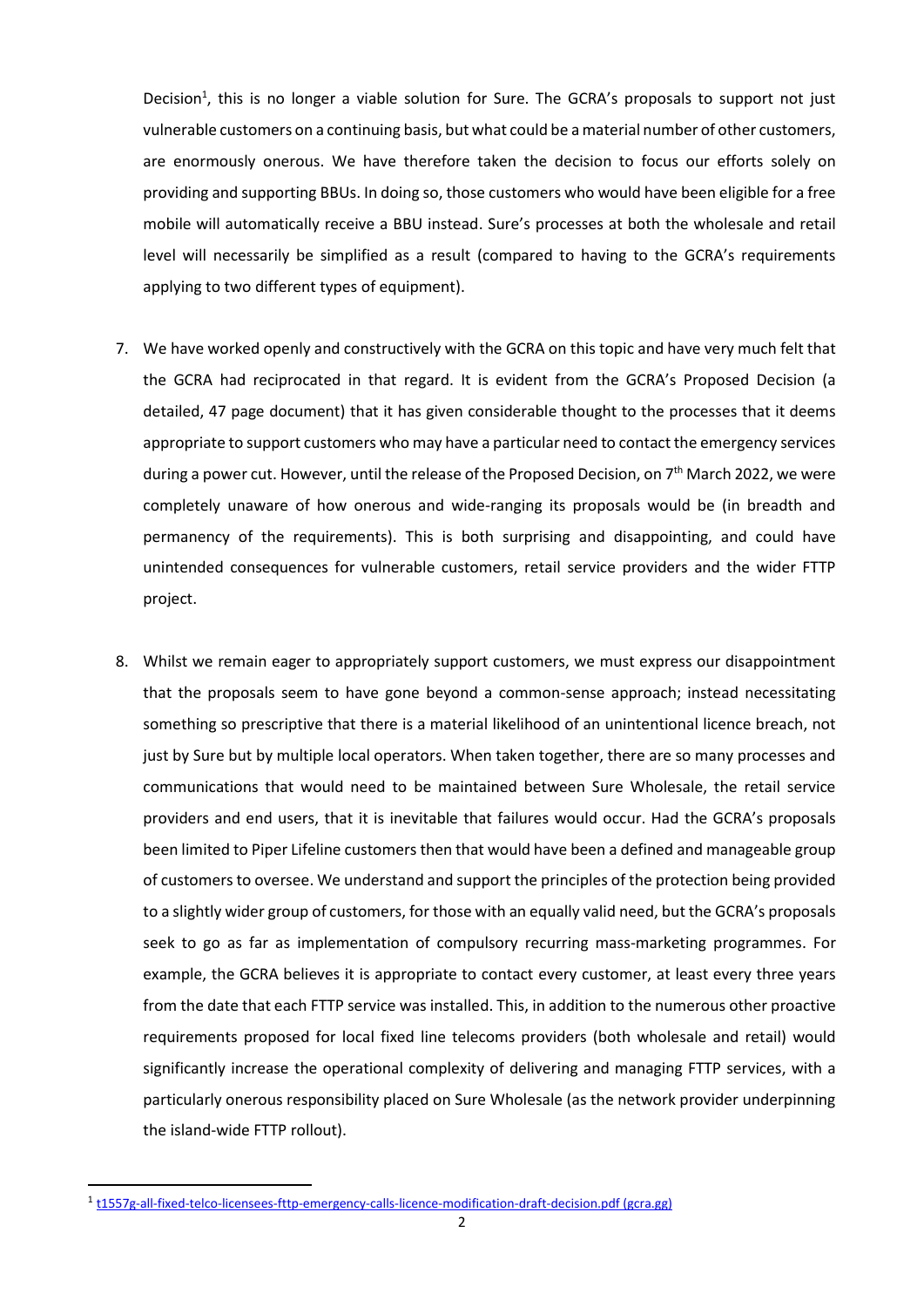Decision<sup>1</sup>, this is no longer a viable solution for Sure. The GCRA's proposals to support not just vulnerable customers on a continuing basis, but what could be a material number of other customers, are enormously onerous. We have therefore taken the decision to focus our efforts solely on providing and supporting BBUs. In doing so, those customers who would have been eligible for a free mobile will automatically receive a BBU instead. Sure's processes at both the wholesale and retail level will necessarily be simplified as a result (compared to having to the GCRA's requirements applying to two different types of equipment).

- 7. We have worked openly and constructively with the GCRA on this topic and have very much felt that the GCRA had reciprocated in that regard. It is evident from the GCRA's Proposed Decision (a detailed, 47 page document) that it has given considerable thought to the processes that it deems appropriate to support customers who may have a particular need to contact the emergency services during a power cut. However, until the release of the Proposed Decision, on 7<sup>th</sup> March 2022, we were completely unaware of how onerous and wide-ranging its proposals would be (in breadth and permanency of the requirements). This is both surprising and disappointing, and could have unintended consequences for vulnerable customers, retail service providers and the wider FTTP project.
- 8. Whilst we remain eager to appropriately support customers, we must express our disappointment that the proposals seem to have gone beyond a common-sense approach; instead necessitating something so prescriptive that there is a material likelihood of an unintentional licence breach, not just by Sure but by multiple local operators. When taken together, there are so many processes and communications that would need to be maintained between Sure Wholesale, the retail service providers and end users, that it is inevitable that failures would occur. Had the GCRA's proposals been limited to Piper Lifeline customers then that would have been a defined and manageable group of customers to oversee. We understand and support the principles of the protection being provided to a slightly wider group of customers, for those with an equally valid need, but the GCRA's proposals seek to go as far as implementation of compulsory recurring mass-marketing programmes. For example, the GCRA believes it is appropriate to contact every customer, at least every three years from the date that each FTTP service was installed. This, in addition to the numerous other proactive requirements proposed for local fixed line telecoms providers (both wholesale and retail) would significantly increase the operational complexity of delivering and managing FTTP services, with a particularly onerous responsibility placed on Sure Wholesale (as the network provider underpinning the island-wide FTTP rollout).

<sup>&</sup>lt;sup>1</sup> [t1557g-all-fixed-telco-licensees-fttp-emergency-calls-licence-modification-draft-decision.pdf \(gcra.gg\)](https://www.gcra.gg/media/598418/t1557g-all-fixed-telco-licensees-fttp-emergency-calls-licence-modification-draft-decision.pdf)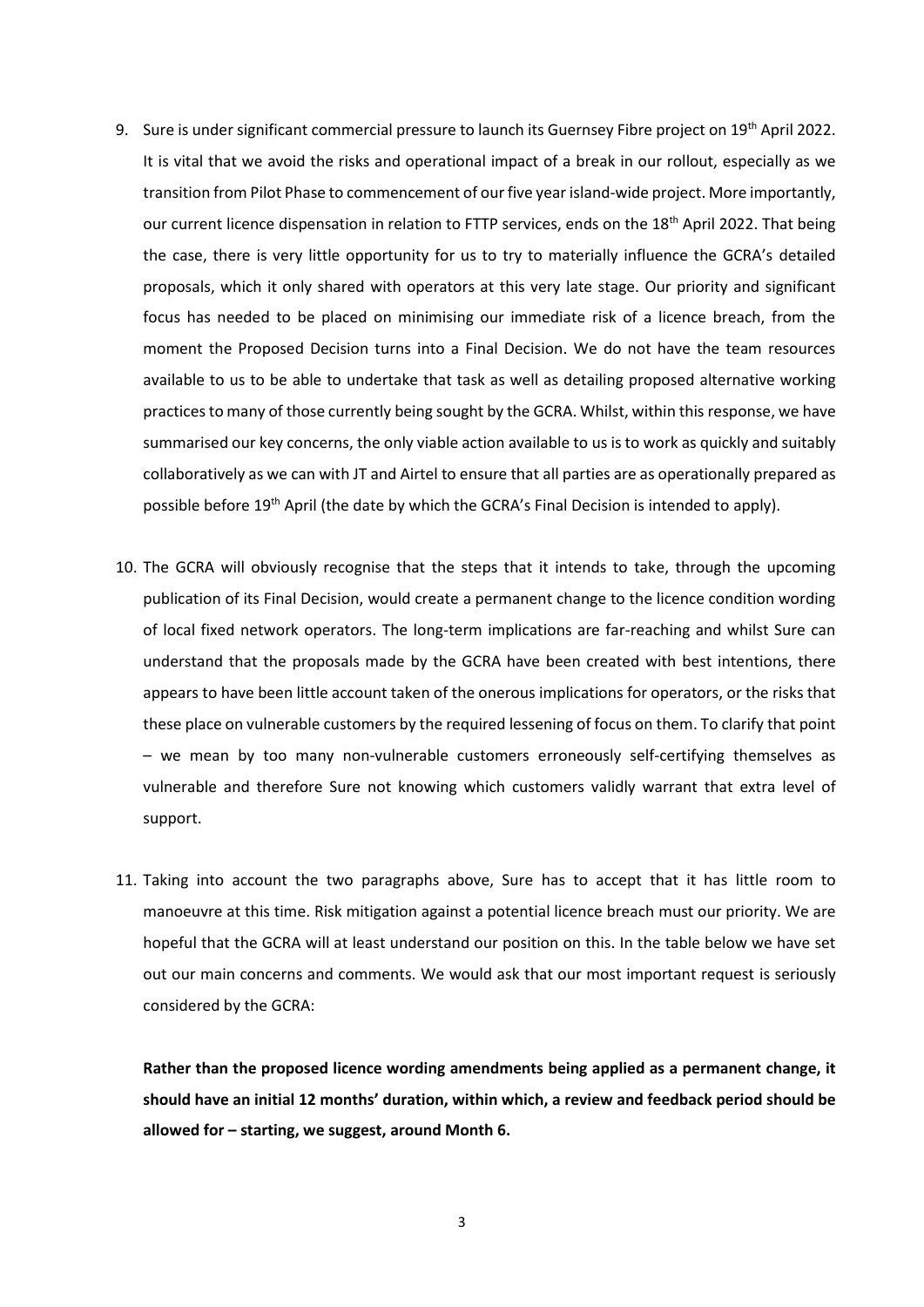- 9. Sure is under significant commercial pressure to launch its Guernsey Fibre project on 19<sup>th</sup> April 2022. It is vital that we avoid the risks and operational impact of a break in our rollout, especially as we transition from Pilot Phase to commencement of our five year island-wide project. More importantly, our current licence dispensation in relation to FTTP services, ends on the 18<sup>th</sup> April 2022. That being the case, there is very little opportunity for us to try to materially influence the GCRA's detailed proposals, which it only shared with operators at this very late stage. Our priority and significant focus has needed to be placed on minimising our immediate risk of a licence breach, from the moment the Proposed Decision turns into a Final Decision. We do not have the team resources available to us to be able to undertake that task as well as detailing proposed alternative working practices to many of those currently being sought by the GCRA. Whilst, within this response, we have summarised our key concerns, the only viable action available to us is to work as quickly and suitably collaboratively as we can with JT and Airtel to ensure that all parties are as operationally prepared as possible before 19<sup>th</sup> April (the date by which the GCRA's Final Decision is intended to apply).
- 10. The GCRA will obviously recognise that the steps that it intends to take, through the upcoming publication of its Final Decision, would create a permanent change to the licence condition wording of local fixed network operators. The long-term implications are far-reaching and whilst Sure can understand that the proposals made by the GCRA have been created with best intentions, there appears to have been little account taken of the onerous implications for operators, or the risks that these place on vulnerable customers by the required lessening of focus on them. To clarify that point – we mean by too many non-vulnerable customers erroneously self-certifying themselves as vulnerable and therefore Sure not knowing which customers validly warrant that extra level of support.
- 11. Taking into account the two paragraphs above, Sure has to accept that it has little room to manoeuvre at this time. Risk mitigation against a potential licence breach must our priority. We are hopeful that the GCRA will at least understand our position on this. In the table below we have set out our main concerns and comments. We would ask that our most important request is seriously considered by the GCRA:

**Rather than the proposed licence wording amendments being applied as a permanent change, it should have an initial 12 months' duration, within which, a review and feedback period should be allowed for – starting, we suggest, around Month 6.**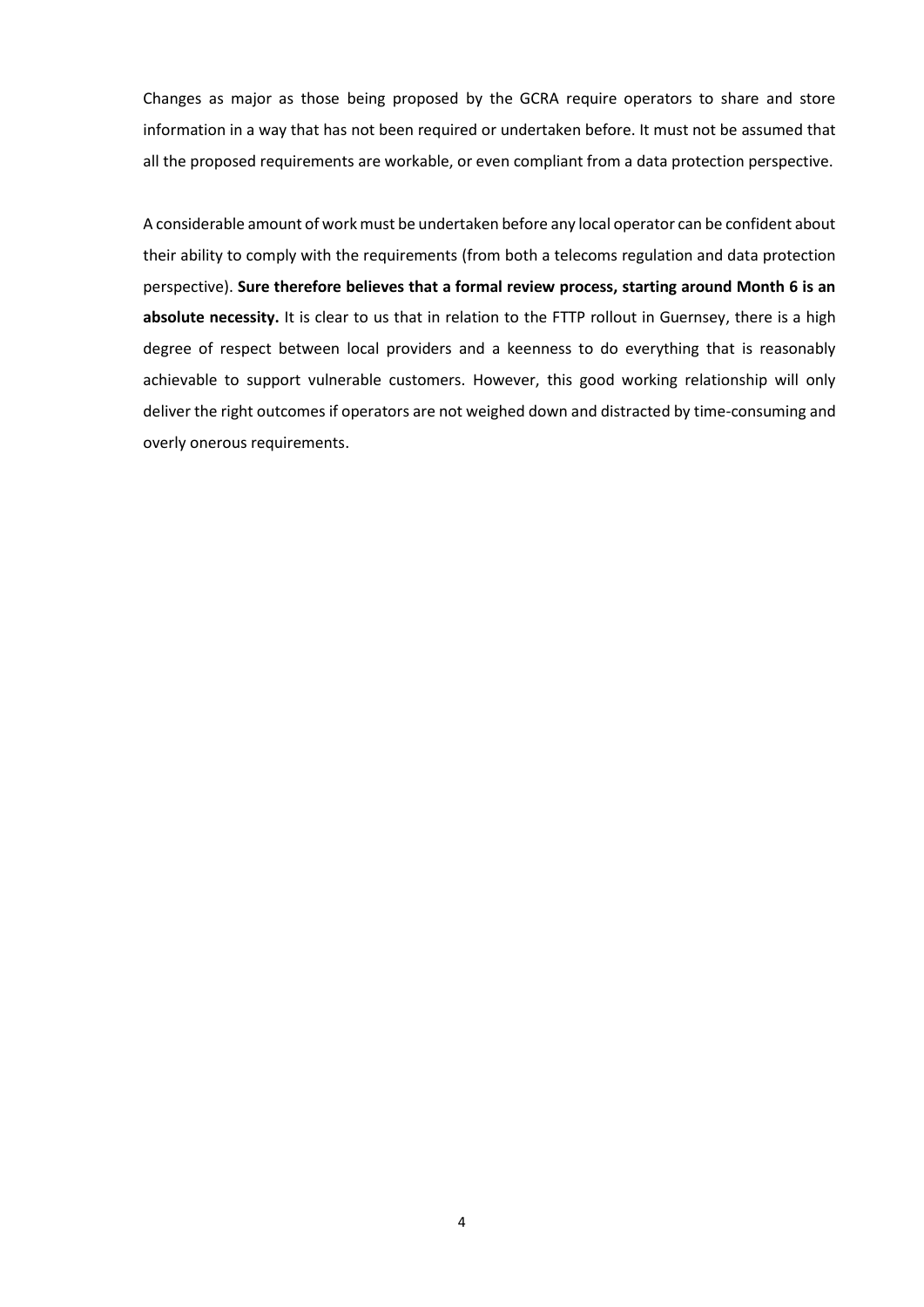Changes as major as those being proposed by the GCRA require operators to share and store information in a way that has not been required or undertaken before. It must not be assumed that all the proposed requirements are workable, or even compliant from a data protection perspective.

A considerable amount of work must be undertaken before any local operator can be confident about their ability to comply with the requirements (from both a telecoms regulation and data protection perspective). **Sure therefore believes that a formal review process, starting around Month 6 is an absolute necessity.** It is clear to us that in relation to the FTTP rollout in Guernsey, there is a high degree of respect between local providers and a keenness to do everything that is reasonably achievable to support vulnerable customers. However, this good working relationship will only deliver the right outcomes if operators are not weighed down and distracted by time-consuming and overly onerous requirements.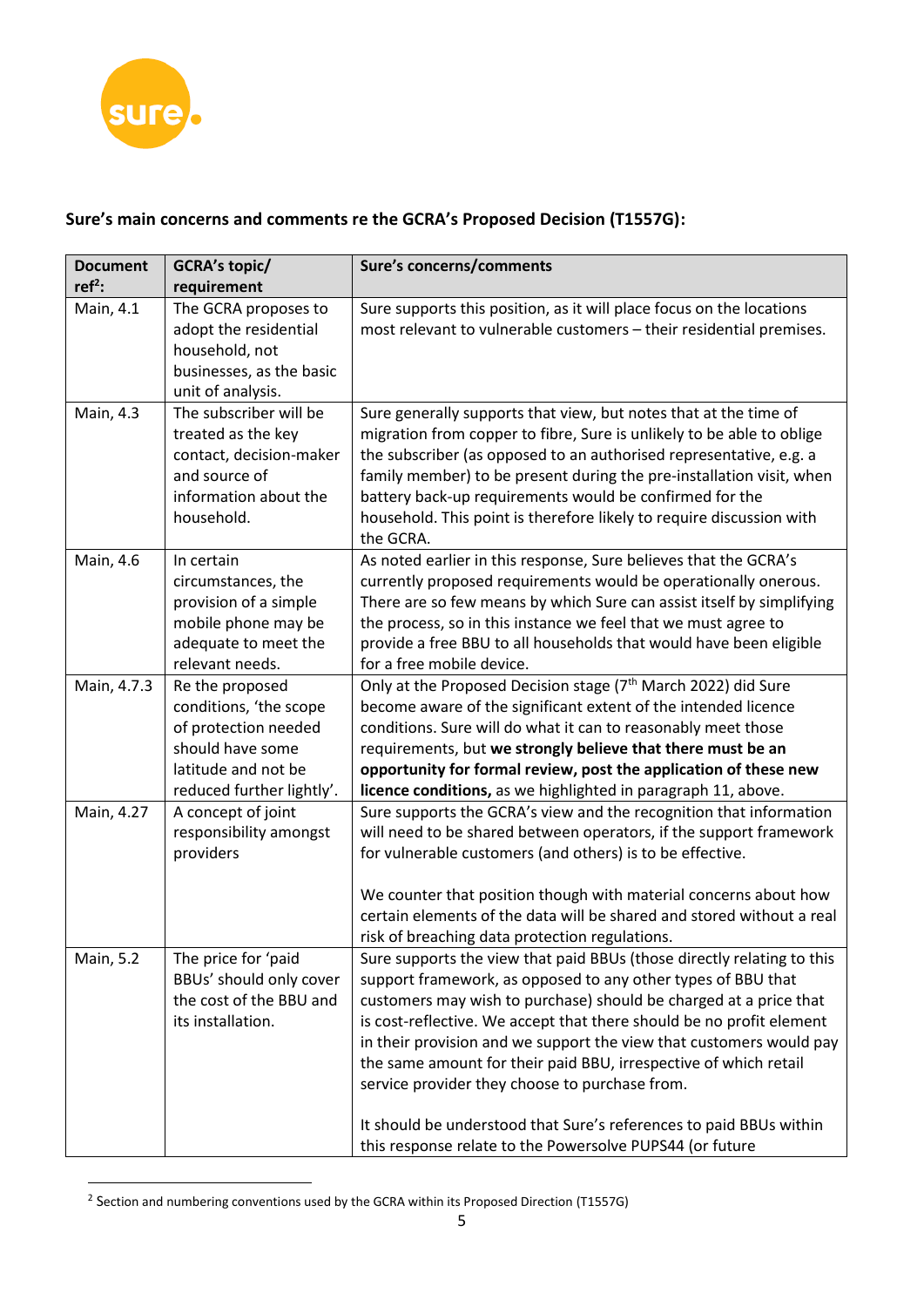

## **Sure's main concerns and comments re the GCRA's Proposed Decision (T1557G):**

| <b>Document</b> | GCRA's topic/                                                                                                                             | Sure's concerns/comments                                                                                                                                                                                                                                                                                                                                                                                                                                                                                                                                                                                           |
|-----------------|-------------------------------------------------------------------------------------------------------------------------------------------|--------------------------------------------------------------------------------------------------------------------------------------------------------------------------------------------------------------------------------------------------------------------------------------------------------------------------------------------------------------------------------------------------------------------------------------------------------------------------------------------------------------------------------------------------------------------------------------------------------------------|
| $ref2$ :        | requirement                                                                                                                               |                                                                                                                                                                                                                                                                                                                                                                                                                                                                                                                                                                                                                    |
| Main, 4.1       | The GCRA proposes to<br>adopt the residential<br>household, not<br>businesses, as the basic<br>unit of analysis.                          | Sure supports this position, as it will place focus on the locations<br>most relevant to vulnerable customers - their residential premises.                                                                                                                                                                                                                                                                                                                                                                                                                                                                        |
| Main, 4.3       | The subscriber will be<br>treated as the key<br>contact, decision-maker<br>and source of<br>information about the<br>household.           | Sure generally supports that view, but notes that at the time of<br>migration from copper to fibre, Sure is unlikely to be able to oblige<br>the subscriber (as opposed to an authorised representative, e.g. a<br>family member) to be present during the pre-installation visit, when<br>battery back-up requirements would be confirmed for the<br>household. This point is therefore likely to require discussion with<br>the GCRA.                                                                                                                                                                            |
| Main, 4.6       | In certain<br>circumstances, the<br>provision of a simple<br>mobile phone may be<br>adequate to meet the<br>relevant needs.               | As noted earlier in this response, Sure believes that the GCRA's<br>currently proposed requirements would be operationally onerous.<br>There are so few means by which Sure can assist itself by simplifying<br>the process, so in this instance we feel that we must agree to<br>provide a free BBU to all households that would have been eligible<br>for a free mobile device.                                                                                                                                                                                                                                  |
| Main, 4.7.3     | Re the proposed<br>conditions, 'the scope<br>of protection needed<br>should have some<br>latitude and not be<br>reduced further lightly'. | Only at the Proposed Decision stage (7 <sup>th</sup> March 2022) did Sure<br>become aware of the significant extent of the intended licence<br>conditions. Sure will do what it can to reasonably meet those<br>requirements, but we strongly believe that there must be an<br>opportunity for formal review, post the application of these new<br>licence conditions, as we highlighted in paragraph 11, above.                                                                                                                                                                                                   |
| Main, 4.27      | A concept of joint<br>responsibility amongst<br>providers                                                                                 | Sure supports the GCRA's view and the recognition that information<br>will need to be shared between operators, if the support framework<br>for vulnerable customers (and others) is to be effective.<br>We counter that position though with material concerns about how<br>certain elements of the data will be shared and stored without a real<br>risk of breaching data protection regulations.                                                                                                                                                                                                               |
| Main, 5.2       | The price for 'paid<br>BBUs' should only cover<br>the cost of the BBU and<br>its installation.                                            | Sure supports the view that paid BBUs (those directly relating to this<br>support framework, as opposed to any other types of BBU that<br>customers may wish to purchase) should be charged at a price that<br>is cost-reflective. We accept that there should be no profit element<br>in their provision and we support the view that customers would pay<br>the same amount for their paid BBU, irrespective of which retail<br>service provider they choose to purchase from.<br>It should be understood that Sure's references to paid BBUs within<br>this response relate to the Powersolve PUPS44 (or future |

 $2$  Section and numbering conventions used by the GCRA within its Proposed Direction (T1557G)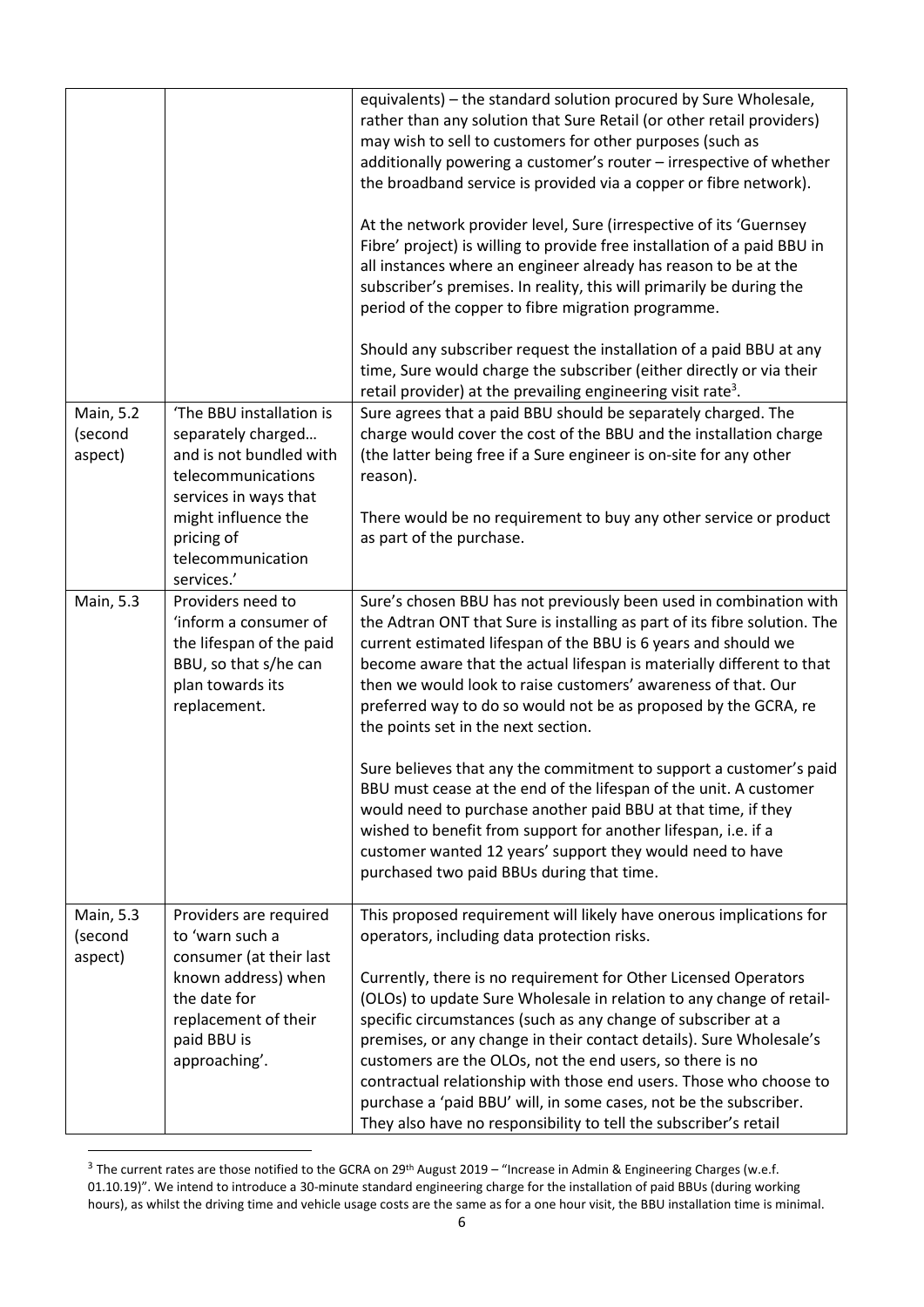|                      |                                                                                                                        | equivalents) - the standard solution procured by Sure Wholesale,<br>rather than any solution that Sure Retail (or other retail providers)<br>may wish to sell to customers for other purposes (such as<br>additionally powering a customer's router - irrespective of whether<br>the broadband service is provided via a copper or fibre network).<br>At the network provider level, Sure (irrespective of its 'Guernsey<br>Fibre' project) is willing to provide free installation of a paid BBU in<br>all instances where an engineer already has reason to be at the<br>subscriber's premises. In reality, this will primarily be during the<br>period of the copper to fibre migration programme.<br>Should any subscriber request the installation of a paid BBU at any<br>time, Sure would charge the subscriber (either directly or via their<br>retail provider) at the prevailing engineering visit rate <sup>3</sup> . |
|----------------------|------------------------------------------------------------------------------------------------------------------------|----------------------------------------------------------------------------------------------------------------------------------------------------------------------------------------------------------------------------------------------------------------------------------------------------------------------------------------------------------------------------------------------------------------------------------------------------------------------------------------------------------------------------------------------------------------------------------------------------------------------------------------------------------------------------------------------------------------------------------------------------------------------------------------------------------------------------------------------------------------------------------------------------------------------------------|
| Main, 5.2            | 'The BBU installation is                                                                                               | Sure agrees that a paid BBU should be separately charged. The                                                                                                                                                                                                                                                                                                                                                                                                                                                                                                                                                                                                                                                                                                                                                                                                                                                                    |
| (second<br>aspect)   | separately charged<br>and is not bundled with                                                                          | charge would cover the cost of the BBU and the installation charge<br>(the latter being free if a Sure engineer is on-site for any other                                                                                                                                                                                                                                                                                                                                                                                                                                                                                                                                                                                                                                                                                                                                                                                         |
|                      | telecommunications                                                                                                     | reason).                                                                                                                                                                                                                                                                                                                                                                                                                                                                                                                                                                                                                                                                                                                                                                                                                                                                                                                         |
|                      | services in ways that<br>might influence the<br>pricing of<br>telecommunication<br>services.'                          | There would be no requirement to buy any other service or product<br>as part of the purchase.                                                                                                                                                                                                                                                                                                                                                                                                                                                                                                                                                                                                                                                                                                                                                                                                                                    |
| <b>Main, 5.3</b>     | Providers need to                                                                                                      | Sure's chosen BBU has not previously been used in combination with                                                                                                                                                                                                                                                                                                                                                                                                                                                                                                                                                                                                                                                                                                                                                                                                                                                               |
|                      | 'inform a consumer of<br>the lifespan of the paid<br>BBU, so that s/he can<br>plan towards its<br>replacement.         | the Adtran ONT that Sure is installing as part of its fibre solution. The<br>current estimated lifespan of the BBU is 6 years and should we<br>become aware that the actual lifespan is materially different to that<br>then we would look to raise customers' awareness of that. Our<br>preferred way to do so would not be as proposed by the GCRA, re<br>the points set in the next section.                                                                                                                                                                                                                                                                                                                                                                                                                                                                                                                                  |
|                      |                                                                                                                        | Sure believes that any the commitment to support a customer's paid<br>BBU must cease at the end of the lifespan of the unit. A customer<br>would need to purchase another paid BBU at that time, if they<br>wished to benefit from support for another lifespan, i.e. if a<br>customer wanted 12 years' support they would need to have<br>purchased two paid BBUs during that time.                                                                                                                                                                                                                                                                                                                                                                                                                                                                                                                                             |
| Main, 5.3<br>(second | Providers are required<br>to 'warn such a                                                                              | This proposed requirement will likely have onerous implications for<br>operators, including data protection risks.                                                                                                                                                                                                                                                                                                                                                                                                                                                                                                                                                                                                                                                                                                                                                                                                               |
| aspect)              | consumer (at their last<br>known address) when<br>the date for<br>replacement of their<br>paid BBU is<br>approaching'. | Currently, there is no requirement for Other Licensed Operators<br>(OLOs) to update Sure Wholesale in relation to any change of retail-<br>specific circumstances (such as any change of subscriber at a<br>premises, or any change in their contact details). Sure Wholesale's<br>customers are the OLOs, not the end users, so there is no<br>contractual relationship with those end users. Those who choose to<br>purchase a 'paid BBU' will, in some cases, not be the subscriber.<br>They also have no responsibility to tell the subscriber's retail                                                                                                                                                                                                                                                                                                                                                                      |

<sup>&</sup>lt;sup>3</sup> The current rates are those notified to the GCRA on 29<sup>th</sup> August 2019 – "Increase in Admin & Engineering Charges (w.e.f. 01.10.19)". We intend to introduce a 30-minute standard engineering charge for the installation of paid BBUs (during working hours), as whilst the driving time and vehicle usage costs are the same as for a one hour visit, the BBU installation time is minimal.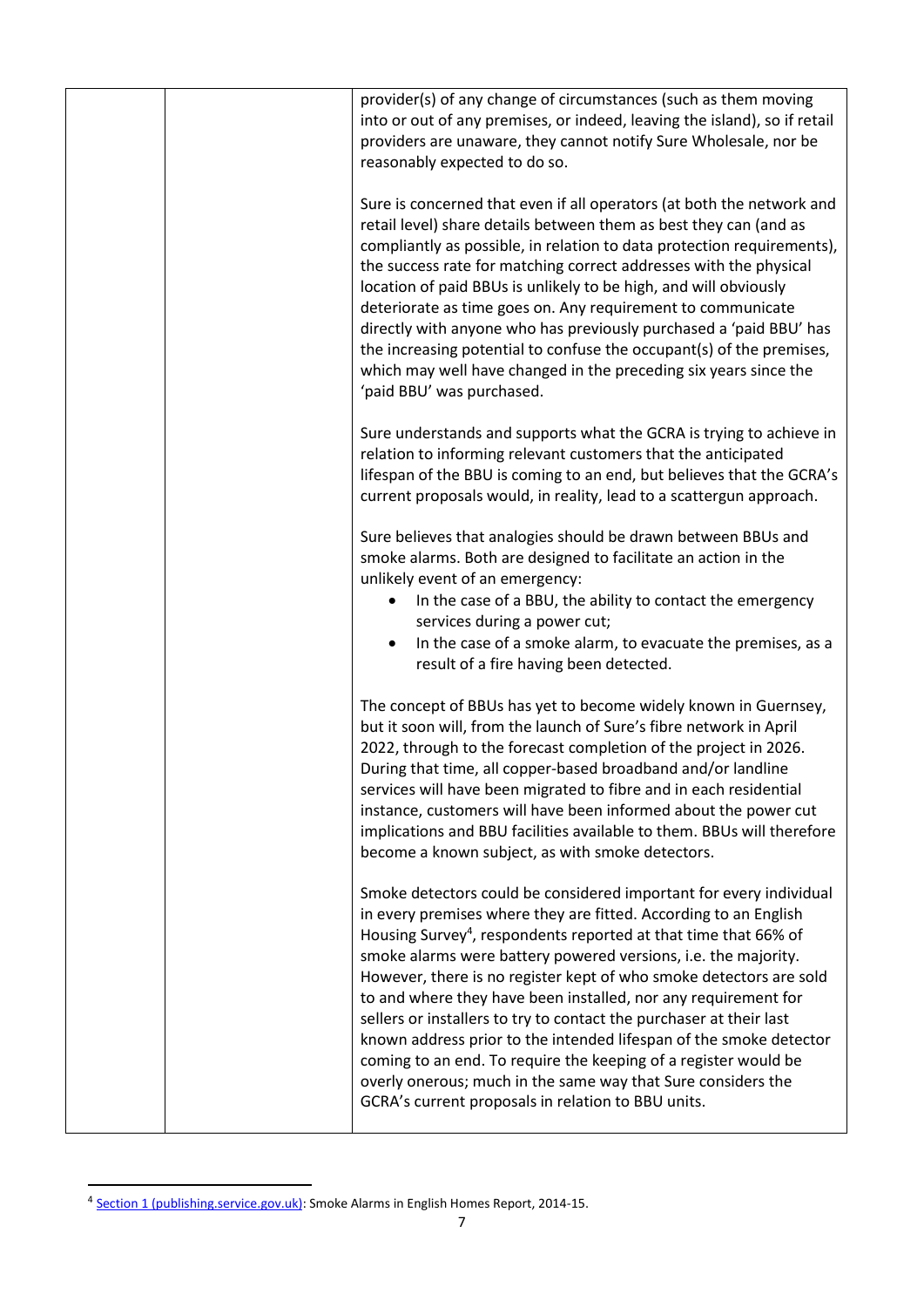| provider(s) of any change of circumstances (such as them moving<br>into or out of any premises, or indeed, leaving the island), so if retail<br>providers are unaware, they cannot notify Sure Wholesale, nor be<br>reasonably expected to do so.                                                                                                                                                                                                                                                                                                                                                                                                                                                                                                                     |
|-----------------------------------------------------------------------------------------------------------------------------------------------------------------------------------------------------------------------------------------------------------------------------------------------------------------------------------------------------------------------------------------------------------------------------------------------------------------------------------------------------------------------------------------------------------------------------------------------------------------------------------------------------------------------------------------------------------------------------------------------------------------------|
| Sure is concerned that even if all operators (at both the network and<br>retail level) share details between them as best they can (and as<br>compliantly as possible, in relation to data protection requirements),<br>the success rate for matching correct addresses with the physical<br>location of paid BBUs is unlikely to be high, and will obviously<br>deteriorate as time goes on. Any requirement to communicate<br>directly with anyone who has previously purchased a 'paid BBU' has<br>the increasing potential to confuse the occupant(s) of the premises,<br>which may well have changed in the preceding six years since the<br>'paid BBU' was purchased.                                                                                           |
| Sure understands and supports what the GCRA is trying to achieve in<br>relation to informing relevant customers that the anticipated<br>lifespan of the BBU is coming to an end, but believes that the GCRA's<br>current proposals would, in reality, lead to a scattergun approach.                                                                                                                                                                                                                                                                                                                                                                                                                                                                                  |
| Sure believes that analogies should be drawn between BBUs and<br>smoke alarms. Both are designed to facilitate an action in the<br>unlikely event of an emergency:<br>In the case of a BBU, the ability to contact the emergency<br>services during a power cut;<br>In the case of a smoke alarm, to evacuate the premises, as a                                                                                                                                                                                                                                                                                                                                                                                                                                      |
| result of a fire having been detected.<br>The concept of BBUs has yet to become widely known in Guernsey,<br>but it soon will, from the launch of Sure's fibre network in April<br>2022, through to the forecast completion of the project in 2026.<br>During that time, all copper-based broadband and/or landline<br>services will have been migrated to fibre and in each residential<br>instance, customers will have been informed about the power cut<br>implications and BBU facilities available to them. BBUs will therefore<br>become a known subject, as with smoke detectors.                                                                                                                                                                             |
| Smoke detectors could be considered important for every individual<br>in every premises where they are fitted. According to an English<br>Housing Survey <sup>4</sup> , respondents reported at that time that 66% of<br>smoke alarms were battery powered versions, i.e. the majority.<br>However, there is no register kept of who smoke detectors are sold<br>to and where they have been installed, nor any requirement for<br>sellers or installers to try to contact the purchaser at their last<br>known address prior to the intended lifespan of the smoke detector<br>coming to an end. To require the keeping of a register would be<br>overly onerous; much in the same way that Sure considers the<br>GCRA's current proposals in relation to BBU units. |
|                                                                                                                                                                                                                                                                                                                                                                                                                                                                                                                                                                                                                                                                                                                                                                       |

<sup>&</sup>lt;sup>4</sup> [Section 1 \(publishing.service.gov.uk\):](https://assets.publishing.service.gov.uk/government/uploads/system/uploads/attachment_data/file/539096/Smoke_Alarms_in_English_Homes_Full_Report.pdf) Smoke Alarms in English Homes Report, 2014-15.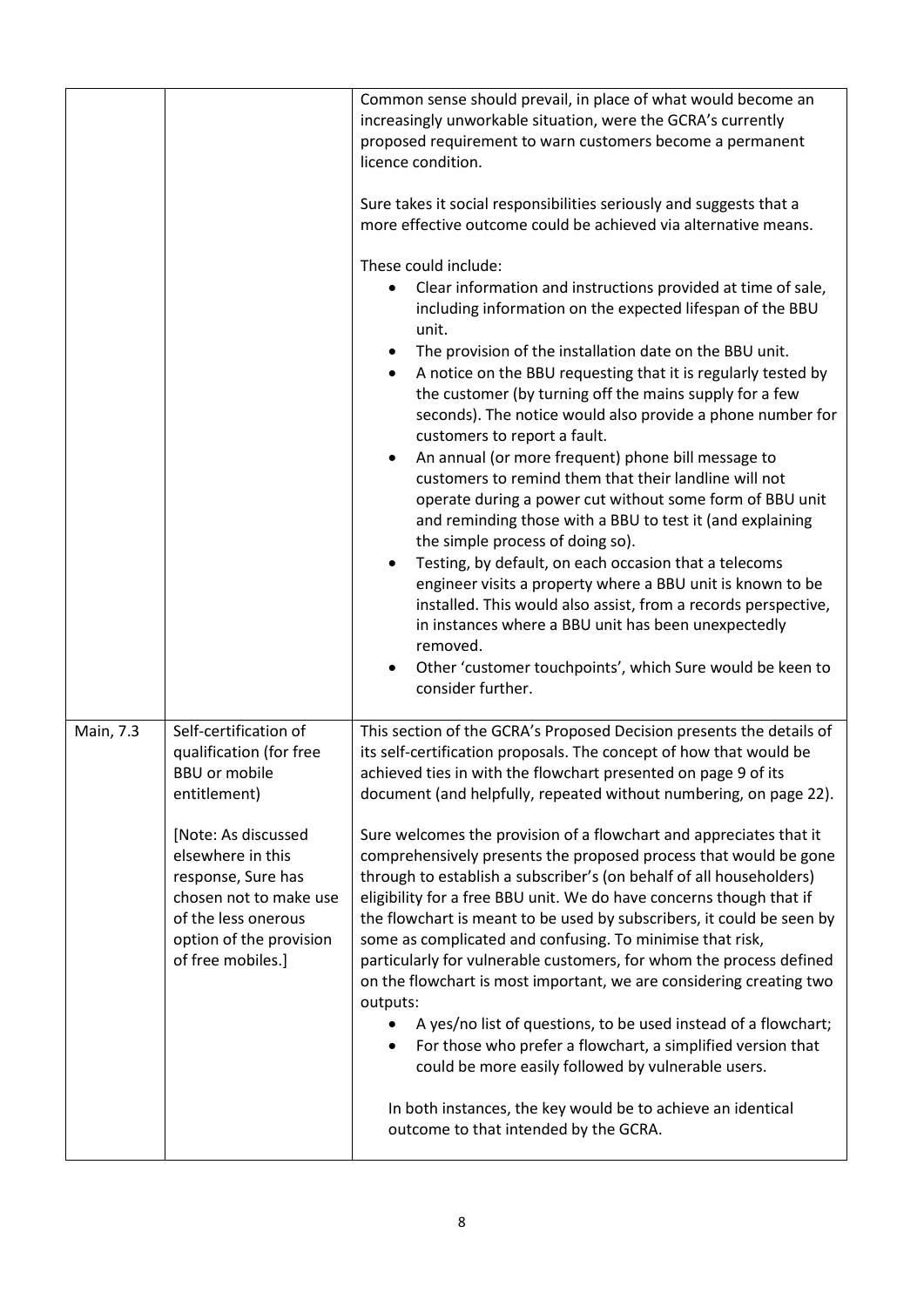|           |                                                                                                                                                                                                                                                      | Common sense should prevail, in place of what would become an<br>increasingly unworkable situation, were the GCRA's currently<br>proposed requirement to warn customers become a permanent<br>licence condition.<br>Sure takes it social responsibilities seriously and suggests that a<br>more effective outcome could be achieved via alternative means.<br>These could include:<br>Clear information and instructions provided at time of sale,<br>including information on the expected lifespan of the BBU<br>unit.<br>The provision of the installation date on the BBU unit.<br>A notice on the BBU requesting that it is regularly tested by<br>the customer (by turning off the mains supply for a few<br>seconds). The notice would also provide a phone number for<br>customers to report a fault.<br>An annual (or more frequent) phone bill message to<br>customers to remind them that their landline will not<br>operate during a power cut without some form of BBU unit<br>and reminding those with a BBU to test it (and explaining<br>the simple process of doing so).<br>Testing, by default, on each occasion that a telecoms<br>engineer visits a property where a BBU unit is known to be<br>installed. This would also assist, from a records perspective,<br>in instances where a BBU unit has been unexpectedly<br>removed.<br>Other 'customer touchpoints', which Sure would be keen to<br>consider further. |
|-----------|------------------------------------------------------------------------------------------------------------------------------------------------------------------------------------------------------------------------------------------------------|-----------------------------------------------------------------------------------------------------------------------------------------------------------------------------------------------------------------------------------------------------------------------------------------------------------------------------------------------------------------------------------------------------------------------------------------------------------------------------------------------------------------------------------------------------------------------------------------------------------------------------------------------------------------------------------------------------------------------------------------------------------------------------------------------------------------------------------------------------------------------------------------------------------------------------------------------------------------------------------------------------------------------------------------------------------------------------------------------------------------------------------------------------------------------------------------------------------------------------------------------------------------------------------------------------------------------------------------------------------------------------------------------------------------------------------------|
| Main, 7.3 | Self-certification of<br>qualification (for free<br>BBU or mobile<br>entitlement)<br>[Note: As discussed<br>elsewhere in this<br>response, Sure has<br>chosen not to make use<br>of the less onerous<br>option of the provision<br>of free mobiles.] | This section of the GCRA's Proposed Decision presents the details of<br>its self-certification proposals. The concept of how that would be<br>achieved ties in with the flowchart presented on page 9 of its<br>document (and helpfully, repeated without numbering, on page 22).<br>Sure welcomes the provision of a flowchart and appreciates that it<br>comprehensively presents the proposed process that would be gone<br>through to establish a subscriber's (on behalf of all householders)<br>eligibility for a free BBU unit. We do have concerns though that if<br>the flowchart is meant to be used by subscribers, it could be seen by<br>some as complicated and confusing. To minimise that risk,<br>particularly for vulnerable customers, for whom the process defined<br>on the flowchart is most important, we are considering creating two<br>outputs:<br>A yes/no list of questions, to be used instead of a flowchart;<br>For those who prefer a flowchart, a simplified version that<br>could be more easily followed by vulnerable users.<br>In both instances, the key would be to achieve an identical<br>outcome to that intended by the GCRA.                                                                                                                                                                                                                                                                |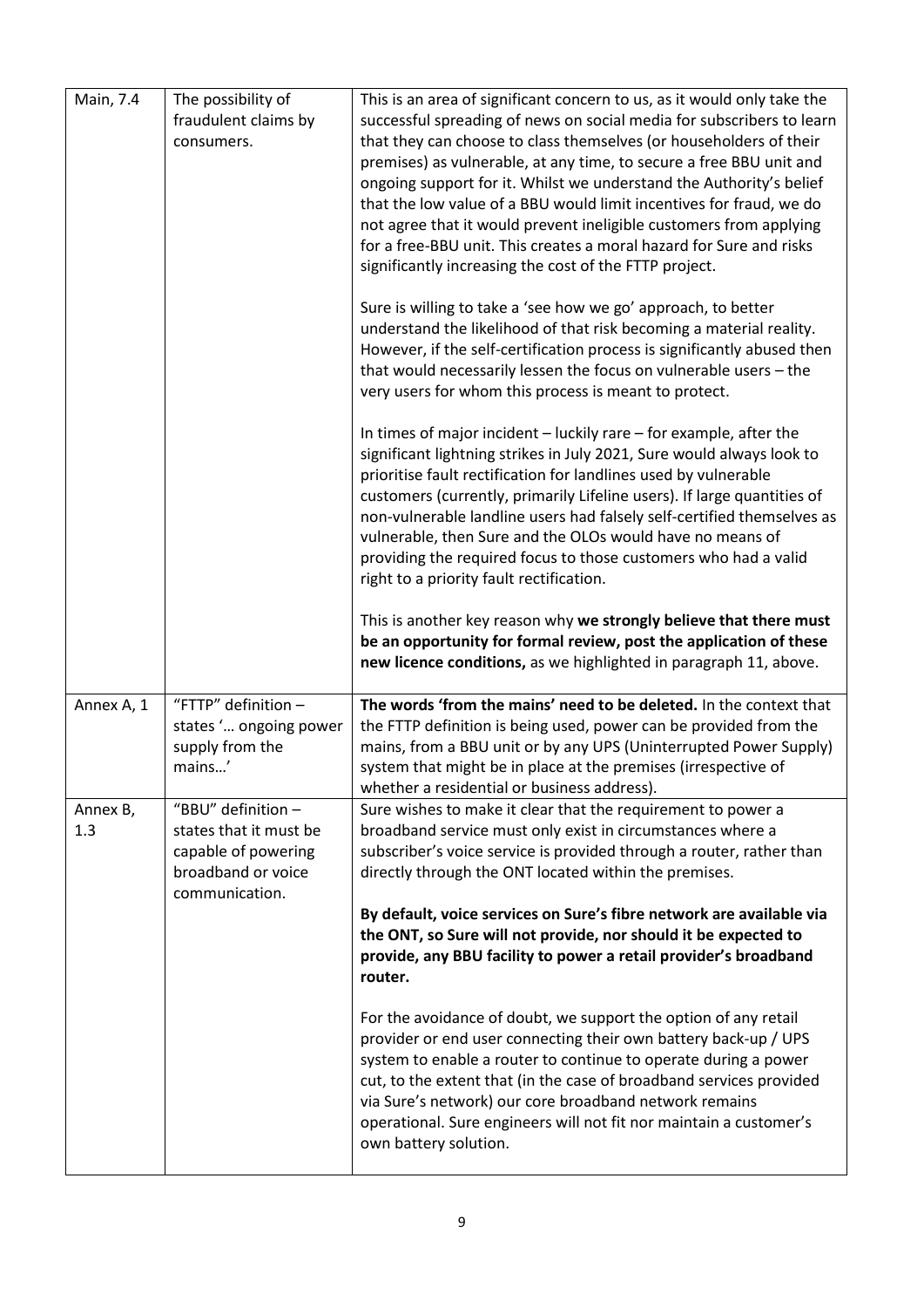| Main, 7.4       | The possibility of<br>fraudulent claims by<br>consumers.                                                    | This is an area of significant concern to us, as it would only take the<br>successful spreading of news on social media for subscribers to learn<br>that they can choose to class themselves (or householders of their<br>premises) as vulnerable, at any time, to secure a free BBU unit and<br>ongoing support for it. Whilst we understand the Authority's belief<br>that the low value of a BBU would limit incentives for fraud, we do<br>not agree that it would prevent ineligible customers from applying<br>for a free-BBU unit. This creates a moral hazard for Sure and risks<br>significantly increasing the cost of the FTTP project.<br>Sure is willing to take a 'see how we go' approach, to better<br>understand the likelihood of that risk becoming a material reality.<br>However, if the self-certification process is significantly abused then<br>that would necessarily lessen the focus on vulnerable users - the<br>very users for whom this process is meant to protect.<br>In times of major incident - luckily rare - for example, after the<br>significant lightning strikes in July 2021, Sure would always look to<br>prioritise fault rectification for landlines used by vulnerable<br>customers (currently, primarily Lifeline users). If large quantities of<br>non-vulnerable landline users had falsely self-certified themselves as<br>vulnerable, then Sure and the OLOs would have no means of<br>providing the required focus to those customers who had a valid<br>right to a priority fault rectification.<br>This is another key reason why we strongly believe that there must<br>be an opportunity for formal review, post the application of these |
|-----------------|-------------------------------------------------------------------------------------------------------------|----------------------------------------------------------------------------------------------------------------------------------------------------------------------------------------------------------------------------------------------------------------------------------------------------------------------------------------------------------------------------------------------------------------------------------------------------------------------------------------------------------------------------------------------------------------------------------------------------------------------------------------------------------------------------------------------------------------------------------------------------------------------------------------------------------------------------------------------------------------------------------------------------------------------------------------------------------------------------------------------------------------------------------------------------------------------------------------------------------------------------------------------------------------------------------------------------------------------------------------------------------------------------------------------------------------------------------------------------------------------------------------------------------------------------------------------------------------------------------------------------------------------------------------------------------------------------------------------------------------------------------------------------------------------------------------------------|
| Annex A, 1      | "FTTP" definition $-$<br>states ' ongoing power<br>supply from the<br>mains'                                | new licence conditions, as we highlighted in paragraph 11, above.<br>The words 'from the mains' need to be deleted. In the context that<br>the FTTP definition is being used, power can be provided from the<br>mains, from a BBU unit or by any UPS (Uninterrupted Power Supply)<br>system that might be in place at the premises (irrespective of                                                                                                                                                                                                                                                                                                                                                                                                                                                                                                                                                                                                                                                                                                                                                                                                                                                                                                                                                                                                                                                                                                                                                                                                                                                                                                                                                |
| Annex B,<br>1.3 | "BBU" definition -<br>states that it must be<br>capable of powering<br>broadband or voice<br>communication. | whether a residential or business address).<br>Sure wishes to make it clear that the requirement to power a<br>broadband service must only exist in circumstances where a<br>subscriber's voice service is provided through a router, rather than<br>directly through the ONT located within the premises.<br>By default, voice services on Sure's fibre network are available via<br>the ONT, so Sure will not provide, nor should it be expected to<br>provide, any BBU facility to power a retail provider's broadband<br>router.<br>For the avoidance of doubt, we support the option of any retail<br>provider or end user connecting their own battery back-up / UPS<br>system to enable a router to continue to operate during a power<br>cut, to the extent that (in the case of broadband services provided<br>via Sure's network) our core broadband network remains<br>operational. Sure engineers will not fit nor maintain a customer's<br>own battery solution.                                                                                                                                                                                                                                                                                                                                                                                                                                                                                                                                                                                                                                                                                                                      |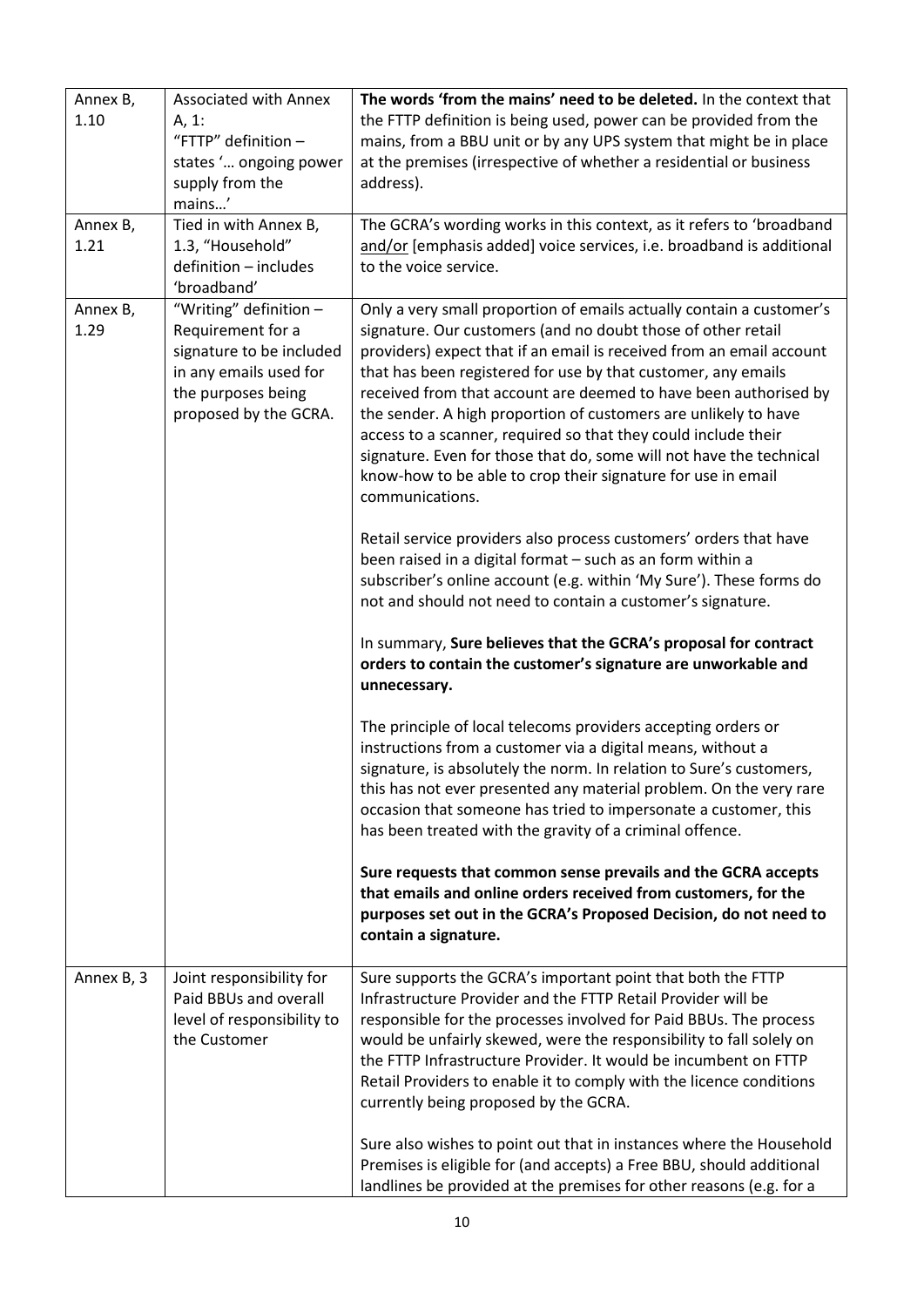| Annex B,<br>1.10 | <b>Associated with Annex</b><br>A, 1:<br>"FTTP" definition -<br>states ' ongoing power<br>supply from the<br>mains'                              | The words 'from the mains' need to be deleted. In the context that<br>the FTTP definition is being used, power can be provided from the<br>mains, from a BBU unit or by any UPS system that might be in place<br>at the premises (irrespective of whether a residential or business<br>address).                                                                                                                                                                                                                                                                                                                                                                                                                                                                                                                                                                                                                                                                                                                                                                                                                                              |
|------------------|--------------------------------------------------------------------------------------------------------------------------------------------------|-----------------------------------------------------------------------------------------------------------------------------------------------------------------------------------------------------------------------------------------------------------------------------------------------------------------------------------------------------------------------------------------------------------------------------------------------------------------------------------------------------------------------------------------------------------------------------------------------------------------------------------------------------------------------------------------------------------------------------------------------------------------------------------------------------------------------------------------------------------------------------------------------------------------------------------------------------------------------------------------------------------------------------------------------------------------------------------------------------------------------------------------------|
| Annex B,<br>1.21 | Tied in with Annex B,<br>1.3, "Household"<br>definition - includes<br>'broadband'                                                                | The GCRA's wording works in this context, as it refers to 'broadband<br>and/or [emphasis added] voice services, i.e. broadband is additional<br>to the voice service.                                                                                                                                                                                                                                                                                                                                                                                                                                                                                                                                                                                                                                                                                                                                                                                                                                                                                                                                                                         |
| Annex B,<br>1.29 | "Writing" definition -<br>Requirement for a<br>signature to be included<br>in any emails used for<br>the purposes being<br>proposed by the GCRA. | Only a very small proportion of emails actually contain a customer's<br>signature. Our customers (and no doubt those of other retail<br>providers) expect that if an email is received from an email account<br>that has been registered for use by that customer, any emails<br>received from that account are deemed to have been authorised by<br>the sender. A high proportion of customers are unlikely to have<br>access to a scanner, required so that they could include their<br>signature. Even for those that do, some will not have the technical<br>know-how to be able to crop their signature for use in email<br>communications.<br>Retail service providers also process customers' orders that have<br>been raised in a digital format - such as an form within a<br>subscriber's online account (e.g. within 'My Sure'). These forms do<br>not and should not need to contain a customer's signature.<br>In summary, Sure believes that the GCRA's proposal for contract<br>orders to contain the customer's signature are unworkable and<br>unnecessary.<br>The principle of local telecoms providers accepting orders or |
|                  |                                                                                                                                                  | instructions from a customer via a digital means, without a<br>signature, is absolutely the norm. In relation to Sure's customers,<br>this has not ever presented any material problem. On the very rare<br>occasion that someone has tried to impersonate a customer, this<br>has been treated with the gravity of a criminal offence.<br>Sure requests that common sense prevails and the GCRA accepts<br>that emails and online orders received from customers, for the<br>purposes set out in the GCRA's Proposed Decision, do not need to<br>contain a signature.                                                                                                                                                                                                                                                                                                                                                                                                                                                                                                                                                                        |
| Annex B, 3       | Joint responsibility for<br>Paid BBUs and overall<br>level of responsibility to<br>the Customer                                                  | Sure supports the GCRA's important point that both the FTTP<br>Infrastructure Provider and the FTTP Retail Provider will be<br>responsible for the processes involved for Paid BBUs. The process<br>would be unfairly skewed, were the responsibility to fall solely on<br>the FTTP Infrastructure Provider. It would be incumbent on FTTP<br>Retail Providers to enable it to comply with the licence conditions<br>currently being proposed by the GCRA.<br>Sure also wishes to point out that in instances where the Household<br>Premises is eligible for (and accepts) a Free BBU, should additional<br>landlines be provided at the premises for other reasons (e.g. for a                                                                                                                                                                                                                                                                                                                                                                                                                                                              |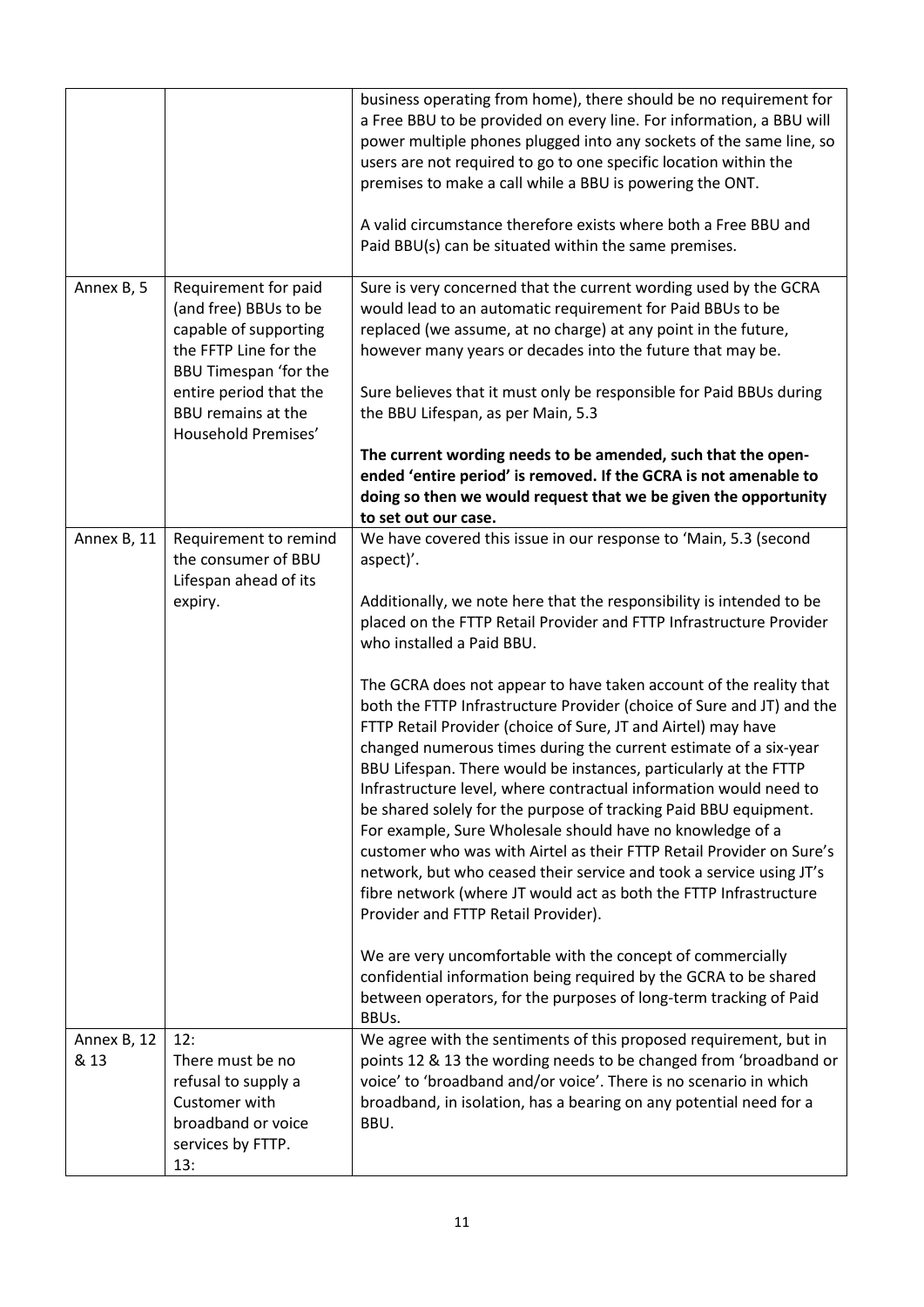|                     |                                                                                                                                 | business operating from home), there should be no requirement for<br>a Free BBU to be provided on every line. For information, a BBU will<br>power multiple phones plugged into any sockets of the same line, so<br>users are not required to go to one specific location within the<br>premises to make a call while a BBU is powering the ONT.<br>A valid circumstance therefore exists where both a Free BBU and<br>Paid BBU(s) can be situated within the same premises.                                                                                                                                                                                                                                                                                                                                          |
|---------------------|---------------------------------------------------------------------------------------------------------------------------------|-----------------------------------------------------------------------------------------------------------------------------------------------------------------------------------------------------------------------------------------------------------------------------------------------------------------------------------------------------------------------------------------------------------------------------------------------------------------------------------------------------------------------------------------------------------------------------------------------------------------------------------------------------------------------------------------------------------------------------------------------------------------------------------------------------------------------|
| Annex B, 5          | Requirement for paid<br>(and free) BBUs to be<br>capable of supporting<br>the FFTP Line for the<br><b>BBU Timespan 'for the</b> | Sure is very concerned that the current wording used by the GCRA<br>would lead to an automatic requirement for Paid BBUs to be<br>replaced (we assume, at no charge) at any point in the future,<br>however many years or decades into the future that may be.                                                                                                                                                                                                                                                                                                                                                                                                                                                                                                                                                        |
|                     | entire period that the<br><b>BBU remains at the</b><br>Household Premises'                                                      | Sure believes that it must only be responsible for Paid BBUs during<br>the BBU Lifespan, as per Main, 5.3                                                                                                                                                                                                                                                                                                                                                                                                                                                                                                                                                                                                                                                                                                             |
|                     |                                                                                                                                 | The current wording needs to be amended, such that the open-<br>ended 'entire period' is removed. If the GCRA is not amenable to<br>doing so then we would request that we be given the opportunity<br>to set out our case.                                                                                                                                                                                                                                                                                                                                                                                                                                                                                                                                                                                           |
| Annex B, 11         | Requirement to remind<br>the consumer of BBU<br>Lifespan ahead of its                                                           | We have covered this issue in our response to 'Main, 5.3 (second<br>aspect)'.                                                                                                                                                                                                                                                                                                                                                                                                                                                                                                                                                                                                                                                                                                                                         |
|                     | expiry.                                                                                                                         | Additionally, we note here that the responsibility is intended to be<br>placed on the FTTP Retail Provider and FTTP Infrastructure Provider<br>who installed a Paid BBU.                                                                                                                                                                                                                                                                                                                                                                                                                                                                                                                                                                                                                                              |
|                     |                                                                                                                                 | The GCRA does not appear to have taken account of the reality that<br>both the FTTP Infrastructure Provider (choice of Sure and JT) and the<br>FTTP Retail Provider (choice of Sure, JT and Airtel) may have<br>changed numerous times during the current estimate of a six-year<br>BBU Lifespan. There would be instances, particularly at the FTTP<br>Infrastructure level, where contractual information would need to<br>be shared solely for the purpose of tracking Paid BBU equipment.<br>For example, Sure Wholesale should have no knowledge of a<br>customer who was with Airtel as their FTTP Retail Provider on Sure's<br>network, but who ceased their service and took a service using JT's<br>fibre network (where JT would act as both the FTTP Infrastructure<br>Provider and FTTP Retail Provider). |
|                     |                                                                                                                                 | We are very uncomfortable with the concept of commercially<br>confidential information being required by the GCRA to be shared<br>between operators, for the purposes of long-term tracking of Paid<br>BBUs.                                                                                                                                                                                                                                                                                                                                                                                                                                                                                                                                                                                                          |
| Annex B, 12<br>& 13 | 12:<br>There must be no<br>refusal to supply a<br>Customer with<br>broadband or voice<br>services by FTTP.<br>13:               | We agree with the sentiments of this proposed requirement, but in<br>points 12 & 13 the wording needs to be changed from 'broadband or<br>voice' to 'broadband and/or voice'. There is no scenario in which<br>broadband, in isolation, has a bearing on any potential need for a<br>BBU.                                                                                                                                                                                                                                                                                                                                                                                                                                                                                                                             |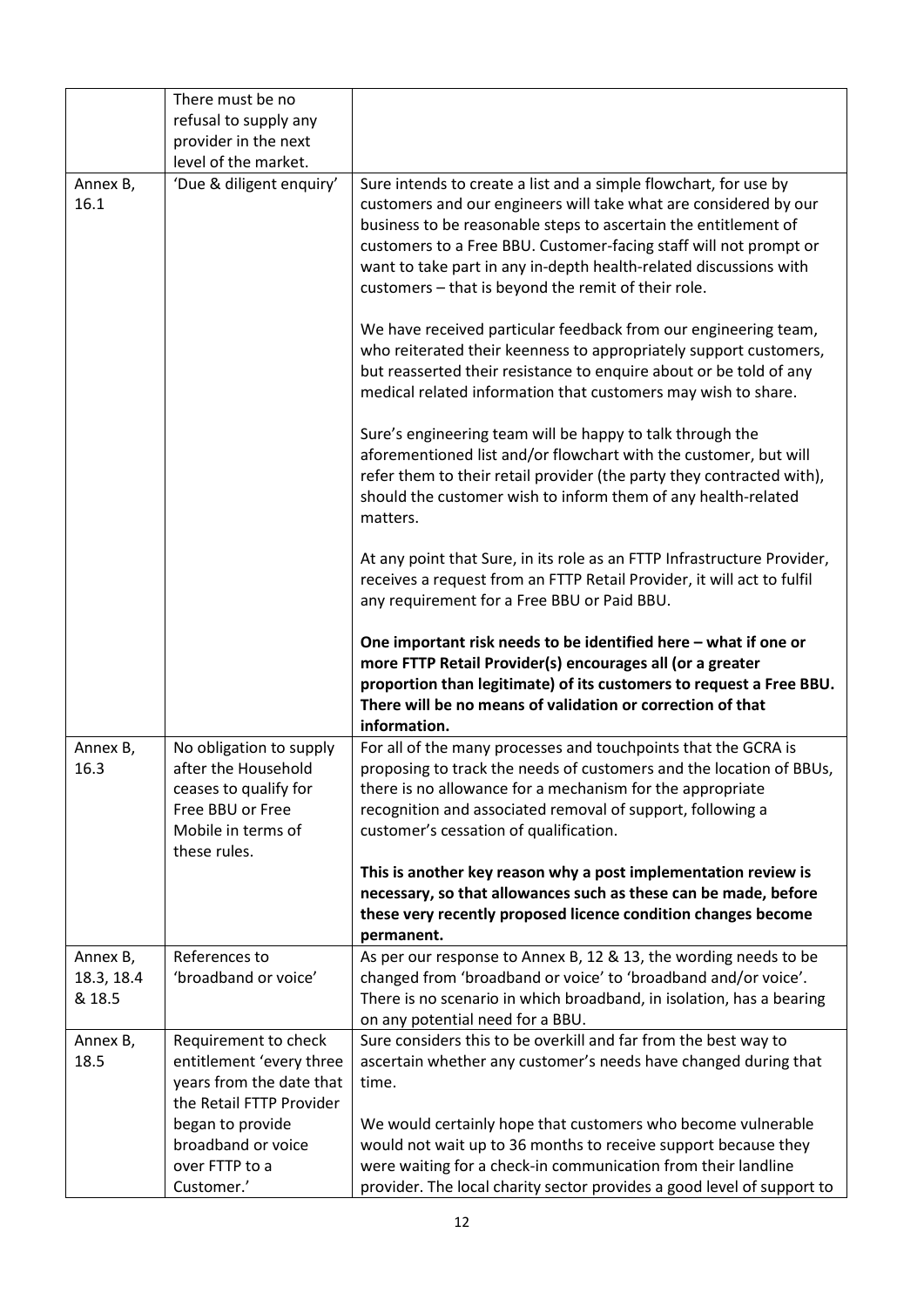|                                  | There must be no<br>refusal to supply any<br>provider in the next<br>level of the market.                                         |                                                                                                                                                                                                                                                                                                                                                                                                                                                                             |
|----------------------------------|-----------------------------------------------------------------------------------------------------------------------------------|-----------------------------------------------------------------------------------------------------------------------------------------------------------------------------------------------------------------------------------------------------------------------------------------------------------------------------------------------------------------------------------------------------------------------------------------------------------------------------|
| Annex B,<br>16.1                 | 'Due & diligent enquiry'                                                                                                          | Sure intends to create a list and a simple flowchart, for use by<br>customers and our engineers will take what are considered by our<br>business to be reasonable steps to ascertain the entitlement of<br>customers to a Free BBU. Customer-facing staff will not prompt or<br>want to take part in any in-depth health-related discussions with<br>customers - that is beyond the remit of their role.<br>We have received particular feedback from our engineering team, |
|                                  |                                                                                                                                   | who reiterated their keenness to appropriately support customers,<br>but reasserted their resistance to enquire about or be told of any<br>medical related information that customers may wish to share.                                                                                                                                                                                                                                                                    |
|                                  |                                                                                                                                   | Sure's engineering team will be happy to talk through the<br>aforementioned list and/or flowchart with the customer, but will<br>refer them to their retail provider (the party they contracted with),<br>should the customer wish to inform them of any health-related<br>matters.                                                                                                                                                                                         |
|                                  |                                                                                                                                   | At any point that Sure, in its role as an FTTP Infrastructure Provider,<br>receives a request from an FTTP Retail Provider, it will act to fulfil<br>any requirement for a Free BBU or Paid BBU.                                                                                                                                                                                                                                                                            |
|                                  |                                                                                                                                   | One important risk needs to be identified here - what if one or<br>more FTTP Retail Provider(s) encourages all (or a greater<br>proportion than legitimate) of its customers to request a Free BBU.<br>There will be no means of validation or correction of that<br>information.                                                                                                                                                                                           |
| Annex B,<br>16.3                 | No obligation to supply<br>after the Household<br>ceases to qualify for<br>Free BBU or Free<br>Mobile in terms of<br>these rules. | For all of the many processes and touchpoints that the GCRA is<br>proposing to track the needs of customers and the location of BBUs,<br>there is no allowance for a mechanism for the appropriate<br>recognition and associated removal of support, following a<br>customer's cessation of qualification.                                                                                                                                                                  |
|                                  |                                                                                                                                   | This is another key reason why a post implementation review is<br>necessary, so that allowances such as these can be made, before<br>these very recently proposed licence condition changes become<br>permanent.                                                                                                                                                                                                                                                            |
| Annex B,<br>18.3, 18.4<br>& 18.5 | References to<br>'broadband or voice'                                                                                             | As per our response to Annex B, 12 & 13, the wording needs to be<br>changed from 'broadband or voice' to 'broadband and/or voice'.<br>There is no scenario in which broadband, in isolation, has a bearing<br>on any potential need for a BBU.                                                                                                                                                                                                                              |
| Annex B,<br>18.5                 | Requirement to check<br>entitlement 'every three<br>years from the date that<br>the Retail FTTP Provider                          | Sure considers this to be overkill and far from the best way to<br>ascertain whether any customer's needs have changed during that<br>time.                                                                                                                                                                                                                                                                                                                                 |
|                                  | began to provide<br>broadband or voice<br>over FTTP to a<br>Customer.'                                                            | We would certainly hope that customers who become vulnerable<br>would not wait up to 36 months to receive support because they<br>were waiting for a check-in communication from their landline<br>provider. The local charity sector provides a good level of support to                                                                                                                                                                                                   |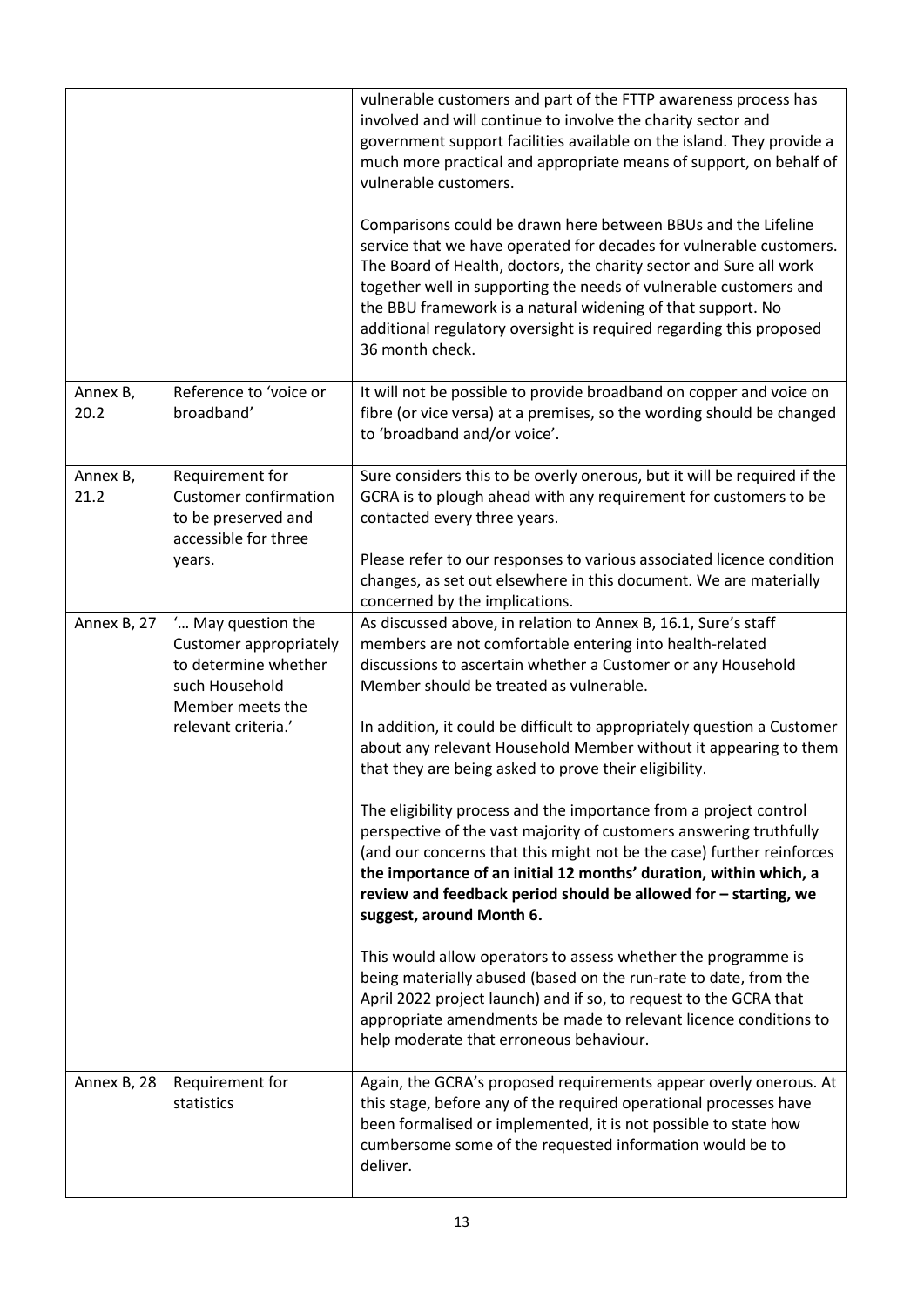|                  |                                                                                                                                   | vulnerable customers and part of the FTTP awareness process has<br>involved and will continue to involve the charity sector and<br>government support facilities available on the island. They provide a<br>much more practical and appropriate means of support, on behalf of<br>vulnerable customers.<br>Comparisons could be drawn here between BBUs and the Lifeline<br>service that we have operated for decades for vulnerable customers.<br>The Board of Health, doctors, the charity sector and Sure all work<br>together well in supporting the needs of vulnerable customers and<br>the BBU framework is a natural widening of that support. No<br>additional regulatory oversight is required regarding this proposed<br>36 month check.                                                                                                                                                                                                                                                                                                                                                                                                            |
|------------------|-----------------------------------------------------------------------------------------------------------------------------------|----------------------------------------------------------------------------------------------------------------------------------------------------------------------------------------------------------------------------------------------------------------------------------------------------------------------------------------------------------------------------------------------------------------------------------------------------------------------------------------------------------------------------------------------------------------------------------------------------------------------------------------------------------------------------------------------------------------------------------------------------------------------------------------------------------------------------------------------------------------------------------------------------------------------------------------------------------------------------------------------------------------------------------------------------------------------------------------------------------------------------------------------------------------|
| Annex B,<br>20.2 | Reference to 'voice or<br>broadband'                                                                                              | It will not be possible to provide broadband on copper and voice on<br>fibre (or vice versa) at a premises, so the wording should be changed<br>to 'broadband and/or voice'.                                                                                                                                                                                                                                                                                                                                                                                                                                                                                                                                                                                                                                                                                                                                                                                                                                                                                                                                                                                   |
| Annex B,<br>21.2 | Requirement for<br><b>Customer confirmation</b><br>to be preserved and<br>accessible for three<br>years.                          | Sure considers this to be overly onerous, but it will be required if the<br>GCRA is to plough ahead with any requirement for customers to be<br>contacted every three years.<br>Please refer to our responses to various associated licence condition<br>changes, as set out elsewhere in this document. We are materially<br>concerned by the implications.                                                                                                                                                                                                                                                                                                                                                                                                                                                                                                                                                                                                                                                                                                                                                                                                   |
| Annex B, 27      | ' May question the<br>Customer appropriately<br>to determine whether<br>such Household<br>Member meets the<br>relevant criteria.' | As discussed above, in relation to Annex B, 16.1, Sure's staff<br>members are not comfortable entering into health-related<br>discussions to ascertain whether a Customer or any Household<br>Member should be treated as vulnerable.<br>In addition, it could be difficult to appropriately question a Customer<br>about any relevant Household Member without it appearing to them<br>that they are being asked to prove their eligibility.<br>The eligibility process and the importance from a project control<br>perspective of the vast majority of customers answering truthfully<br>(and our concerns that this might not be the case) further reinforces<br>the importance of an initial 12 months' duration, within which, a<br>review and feedback period should be allowed for - starting, we<br>suggest, around Month 6.<br>This would allow operators to assess whether the programme is<br>being materially abused (based on the run-rate to date, from the<br>April 2022 project launch) and if so, to request to the GCRA that<br>appropriate amendments be made to relevant licence conditions to<br>help moderate that erroneous behaviour. |
| Annex B, 28      | Requirement for<br>statistics                                                                                                     | Again, the GCRA's proposed requirements appear overly onerous. At<br>this stage, before any of the required operational processes have<br>been formalised or implemented, it is not possible to state how<br>cumbersome some of the requested information would be to<br>deliver.                                                                                                                                                                                                                                                                                                                                                                                                                                                                                                                                                                                                                                                                                                                                                                                                                                                                              |